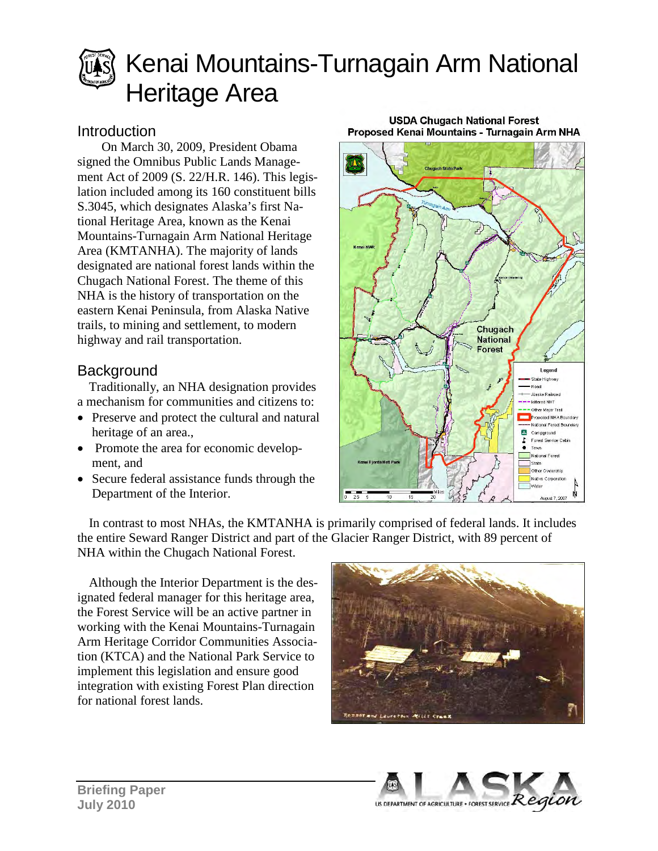

# Kenai Mountains-Turnagain Arm National Heritage Area

### Introduction

On March 30, 2009, President Obama signed the Omnibus Public Lands Management Act of 2009 (S. 22/H.R. 146). This legislation included among its 160 constituent bills S.3045, which designates Alaska's first National Heritage Area, known as the Kenai Mountains-Turnagain Arm National Heritage Area (KMTANHA). The majority of lands designated are national forest lands within the Chugach National Forest. The theme of this NHA is the history of transportation on the eastern Kenai Peninsula, from Alaska Native trails, to mining and settlement, to modern highway and rail transportation.

### **Background**

Traditionally, an NHA designation provides a mechanism for communities and citizens to:

- Preserve and protect the cultural and natural heritage of an area.,
- Promote the area for economic development, and
- Secure federal assistance funds through the Department of the Interior.

#### **USDA Chugach National Forest** Proposed Kenai Mountains - Turnagain Arm NHA



In contrast to most NHAs, the KMTANHA is primarily comprised of federal lands. It includes the entire Seward Ranger District and part of the Glacier Ranger District, with 89 percent of NHA within the Chugach National Forest.

Although the Interior Department is the designated federal manager for this heritage area, the Forest Service will be an active partner in working with the Kenai Mountains-Turnagain Arm Heritage Corridor Communities Association (KTCA) and the National Park Service to implement this legislation and ensure good integration with existing Forest Plan direction for national forest lands.